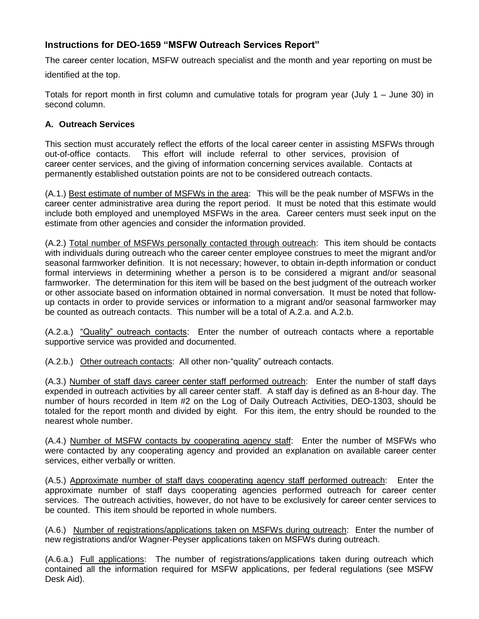# **Instructions for DEO-1659 "MSFW Outreach Services Report"**

The career center location, MSFW outreach specialist and the month and year reporting on must be identified at the top.

Totals for report month in first column and cumulative totals for program year (July 1 – June 30) in second column.

## **A. Outreach Services**

This section must accurately reflect the efforts of the local career center in assisting MSFWs through out-of-office contacts. This effort will include referral to other services, provision of career center services, and the giving of information concerning services available. Contacts at permanently established outstation points are not to be considered outreach contacts.

(A.1.) Best estimate of number of MSFWs in the area: This will be the peak number of MSFWs in the career center administrative area during the report period. It must be noted that this estimate would include both employed and unemployed MSFWs in the area. Career centers must seek input on the estimate from other agencies and consider the information provided.

(A.2.) Total number of MSFWs personally contacted through outreach: This item should be contacts with individuals during outreach who the career center employee construes to meet the migrant and/or seasonal farmworker definition. It is not necessary; however, to obtain in-depth information or conduct formal interviews in determining whether a person is to be considered a migrant and/or seasonal farmworker. The determination for this item will be based on the best judgment of the outreach worker or other associate based on information obtained in normal conversation. It must be noted that followup contacts in order to provide services or information to a migrant and/or seasonal farmworker may be counted as outreach contacts. This number will be a total of A.2.a. and A.2.b.

(A.2.a.) "Quality" outreach contacts: Enter the number of outreach contacts where a reportable supportive service was provided and documented.

(A.2.b.) Other outreach contacts: All other non-"quality" outreach contacts.

(A.3.) Number of staff days career center staff performed outreach: Enter the number of staff days expended in outreach activities by all career center staff. A staff day is defined as an 8-hour day. The number of hours recorded in Item #2 on the Log of Daily Outreach Activities, DEO-1303, should be totaled for the report month and divided by eight. For this item, the entry should be rounded to the nearest whole number.

(A.4.) Number of MSFW contacts by cooperating agency staff: Enter the number of MSFWs who were contacted by any cooperating agency and provided an explanation on available career center services, either verbally or written.

(A.5.) Approximate number of staff days cooperating agency staff performed outreach: Enter the approximate number of staff days cooperating agencies performed outreach for career center services. The outreach activities, however, do not have to be exclusively for career center services to be counted. This item should be reported in whole numbers.

(A.6.) Number of registrations/applications taken on MSFWs during outreach: Enter the number of new registrations and/or Wagner-Peyser applications taken on MSFWs during outreach.

(A.6.a.) Full applications: The number of registrations/applications taken during outreach which contained all the information required for MSFW applications, per federal regulations (see MSFW Desk Aid).